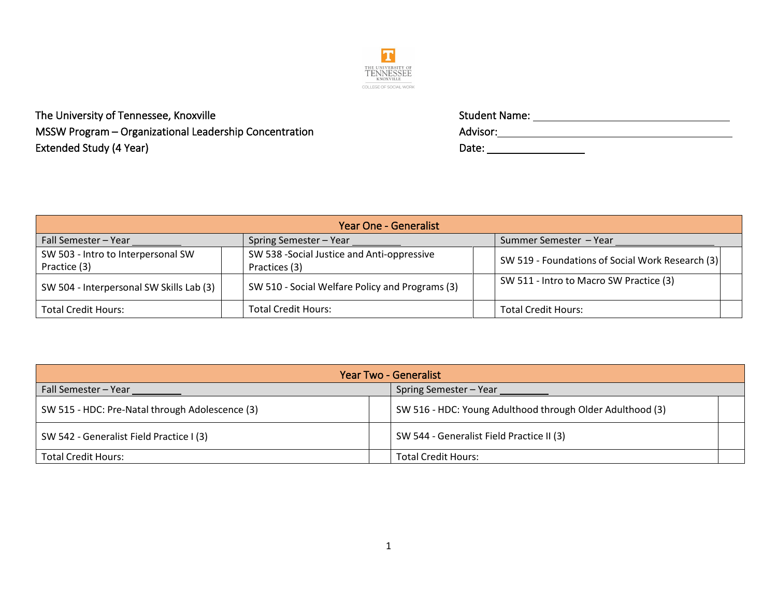

The University of Tennessee, Knoxville  $MSSW$  Program – Organizational Leadership Concentration Extended Study (4 Year)

| Student Name: |  |  |
|---------------|--|--|
| Advisor:      |  |  |
| Date:         |  |  |

| <b>Year One - Generalist</b>                       |                                                             |  |                                                  |  |
|----------------------------------------------------|-------------------------------------------------------------|--|--------------------------------------------------|--|
| Fall Semester - Year                               | Spring Semester - Year                                      |  | Summer Semester – Year                           |  |
| SW 503 - Intro to Interpersonal SW<br>Practice (3) | SW 538 -Social Justice and Anti-oppressive<br>Practices (3) |  | SW 519 - Foundations of Social Work Research (3) |  |
| SW 504 - Interpersonal SW Skills Lab (3)           | SW 510 - Social Welfare Policy and Programs (3)             |  | SW 511 - Intro to Macro SW Practice (3)          |  |
| <b>Total Credit Hours:</b>                         | <b>Total Credit Hours:</b>                                  |  | <b>Total Credit Hours:</b>                       |  |

| Year Two - Generalist                           |                                                           |  |
|-------------------------------------------------|-----------------------------------------------------------|--|
| <b>Fall Semester – Year</b>                     | Spring Semester - Year                                    |  |
| SW 515 - HDC: Pre-Natal through Adolescence (3) | SW 516 - HDC: Young Adulthood through Older Adulthood (3) |  |
| SW 542 - Generalist Field Practice I (3)        | SW 544 - Generalist Field Practice II (3)                 |  |
| <b>Total Credit Hours:</b>                      | <b>Total Credit Hours:</b>                                |  |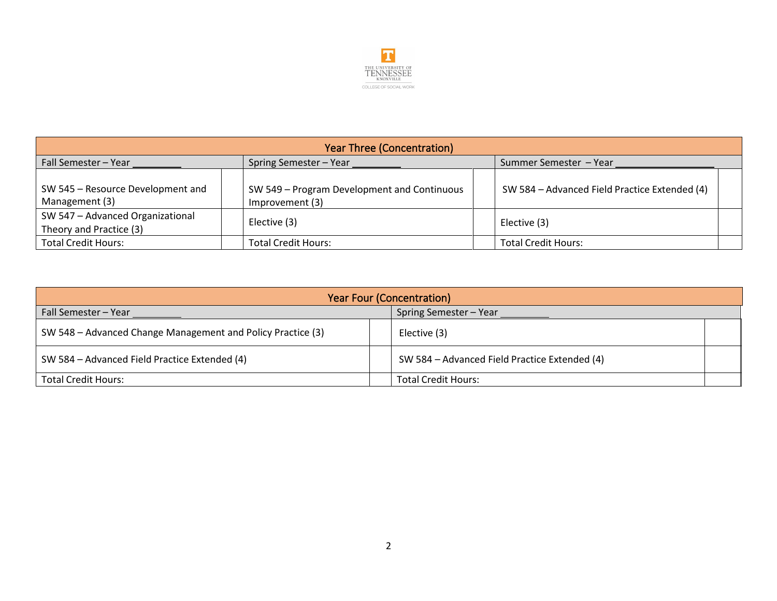

| <b>Year Three (Concentration)</b>                           |                                                                |                        |                                               |
|-------------------------------------------------------------|----------------------------------------------------------------|------------------------|-----------------------------------------------|
| Spring Semester - Year<br>Fall Semester - Year              |                                                                | Summer Semester - Year |                                               |
| SW 545 - Resource Development and<br>Management (3)         | SW 549 - Program Development and Continuous<br>Improvement (3) |                        | SW 584 - Advanced Field Practice Extended (4) |
| SW 547 - Advanced Organizational<br>Theory and Practice (3) | Elective (3)                                                   |                        | Elective (3)                                  |
| <b>Total Credit Hours:</b>                                  | <b>Total Credit Hours:</b>                                     |                        | <b>Total Credit Hours:</b>                    |

| <b>Year Four (Concentration)</b>                            |                                               |  |
|-------------------------------------------------------------|-----------------------------------------------|--|
| Fall Semester - Year                                        | Spring Semester - Year                        |  |
| SW 548 - Advanced Change Management and Policy Practice (3) | Elective (3)                                  |  |
| SW 584 – Advanced Field Practice Extended (4)               | SW 584 - Advanced Field Practice Extended (4) |  |
| <b>Total Credit Hours:</b>                                  | <b>Total Credit Hours:</b>                    |  |